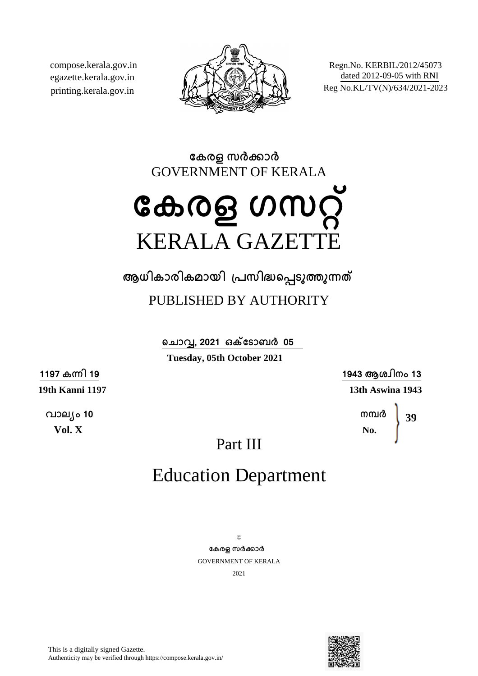compose.kerala.gov.in egazette.kerala.gov.in printing.kerala.gov.in



Regn.No. KERBIL/2012/45073 dated 2012-09-05 with RNI Reg No.KL/TV(N)/634/2021-2023

**േകരള സരകാര** GOVERNMENT OF KERALA

# **േകരള ഗസറ്** KERALA GAZETTE

**ആധികാരികമായി ്പസിദെപടുതുനത**

PUBLISHED BY AUTHORITY

**െചാവ, 2021 ഒകേടാബര 05 Tuesday, 05th October 2021**

**1197 കനി 19**

**19th Kanni 1197**

**വാല്ം 10 Vol. X**

**1943 ആശ്ിനം 13 13th Aswina 1943**

> **നമര No. 39**

Part III

## Education Department

 $\odot$ **േകരള സരകാര** GOVERNMENT OF KERALA 2021

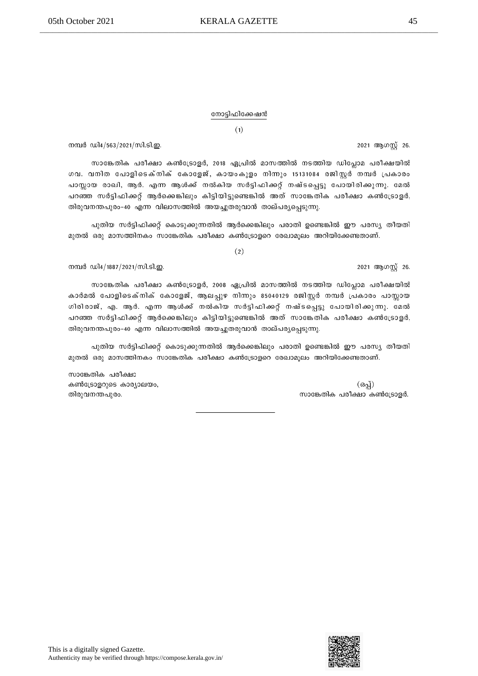#### നോട്ടിഫിക്കേഷൻ

 $(1)$ 

നമ്പർ ഡി4/563/2021/സി.ടി.ഇ.

സാങ്കേതിക പരീക്ഷാ കൺട്രോളർ, 2018 ഏപ്രിൽ മാസത്തിൽ നടത്തിയ ഡിപ്ലോമ പരീക്ഷയിൽ ഗവ. വനിത പോളിടെക്നിക് കോളേജ്, കായംകുളം നിന്നും 15131084 രജിസ്റ്റർ നമ്പർ പ്രകാരം പാസ്സായ രാഖി, ആർ. എന്ന ആൾക്ക് നൽകിയ സർട്ടിഫിക്കറ്റ് നഷ്ടപ്പെട്ടു പോയിരിക്കുന്നു. മേൽ പറഞ്ഞ സർട്ടിഫിക്കറ്റ് ആർക്കെങ്കിലും കിട്ടിയിട്ടുണ്ടെങ്കിൽ അത് സാങ്കേതിക പരീക്ഷാ കൺട്രോളർ, തിരുവനന്തപുരം-40 എന്ന വിലാസത്തിൽ അയച്ചുതരുവാൻ താല്പര്യപ്പെടുന്നു.

പുതിയ സർട്ടിഫിക്കറ്റ് കൊടുക്കുന്നതിൽ ആർക്കെങ്കിലും പരാതി ഉണ്ടെങ്കിൽ ഈ പരസ്യ തീയതി മുതൽ ഒരു മാസത്തിനകം സാങ്കേതിക പരീക്ഷാ കൺട്രോളറെ രേഖാമൂലം അറിയിക്കേണ്ടതാണ്.

 $(2)$ 

നമ്പർ ഡി4/1887/2021/സി.ടി.ഇ.

സാങ്കേതിക പരീക്ഷാ കൺട്രോളർ, 2008 ഏപ്രിൽ മാസത്തിൽ നടത്തിയ ഡിപ്ലോമ പരീക്ഷയിൽ കാർമൽ പോളിടെക്നിക് കോളേജ്, ആലപ്പുഴ നിന്നും 85040129 രജിസ്റ്റർ നമ്പർ പ്രകാരം പാസ്സായ ഗിരിരാജ്, എ. ആർ. എന്ന ആൾക്ക് നൽകിയ സർട്ടിഫിക്കറ്റ് നഷ്ടപ്പെട്ടു പോയിരിക്കുന്നു. മേൽ പറഞ്ഞ സർട്ടിഫിക്കറ്റ് ആർക്കെങ്കിലും കിട്ടിയിട്ടുണ്ടെങ്കിൽ അത് സാങ്കേതിക പരീക്ഷാ കൺട്രോളർ, തിരുവനന്തപുരം-40 എന്ന വിലാസത്തിൽ അയച്ചുതരുവാൻ താല്പര്യപ്പെടുന്നു.

പുതിയ സർട്ടിഫിക്കറ്റ് കൊടുക്കുന്നതിൽ ആർക്കെങ്കിലും പരാതി ഉണ്ടെങ്കിൽ ഈ പരസ്യ തീയതി മുതൽ ഒരു മാസത്തിനകം സാങ്കേതിക പരീക്ഷാ കൺട്രോളറെ രേഖാമൂലം അറിയിക്കേണ്ടതാണ്.

സാങ്കേതിക പരീക്ഷാ കൺട്രോളറുടെ കാര്യാലയം, തിരുവനന്തപുരം.

This is a digitally signed Gazette. Authenticity may be verified through https://compose.kerala.gov.in/



2021 ആഗസ്റ്റ് 26.

2021 ആഗസ്റ്റ് 26.

(ഒപ്പ്)

സാങ്കേതിക പരീക്ഷാ കൺട്രോളർ.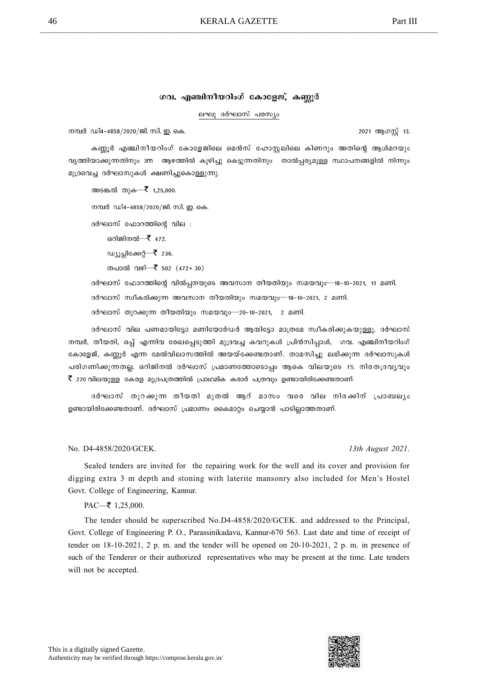### ഗവ. എഞ്ചിനീയറിംഗ് കോളേജ്, കണ്ണൂർ

#### ലഘു ദർഘാസ് പരസ്യം

നമ്പർ ഡി4-4858/2020/ജി. സി. ഇ. കെ.

2021 ആഗസ്റ്റ് 13.

കണ്ണൂർ എഞ്ചിനീയറിംഗ് കോളേജിലെ മെൻസ് ഹോസ്റ്റലിലെ കിണറും അതിന്റെ ആൾമറയും വൃത്തിയാക്കുന്നതിനും 3m ആഴത്തിൽ കുഴിച്ചു കെട്ടുന്നതിനും താൽപ്പര്യമുള്ള സ്ഥാപനങ്ങളിൽ നിന്നും മുദ്രവെച്ച ദർഘാസുകൾ ക്ഷണിച്ചുകൊള്ളുന്നു.

അടങ്കൽ തുക—₹ 1,25,000.

നമ്പർ ഡി4-4858/2020/ജി. സി. ഇ. കെ.

ദർഘാസ് ഫോറത്തിന്റെ വില :

ഒറിജിനൽ—₹ 472.

ഡ്യൂപ്പിക്കേറ്റ്— $\bar{\bar{\xi}}$  236.

തപാൽ വഴി—₹ 502 (472+30)

ദർഘാസ് ഫോറത്തിന്റെ വിൽപ്പനയുടെ അവസാന തീയതിയും സമയവും—18-10-2021, 11 മണി.

ദർഘാസ് സ്വീകരിക്കുന്ന അവസാന തീയതിയും സമയവും—18-10-2021, 2 മണി.

ദർഘാസ് തുറക്കുന്ന തീയതിയും സമയവും—20-10-2021, 2 മണി.

ദർഘാസ് വില പണമായിട്ടോ മണിയോർഡർ ആയിട്ടോ മാത്രമേ സ്വീകരിക്കുകയുള്ളൂ. ദർഘാസ് നമ്പർ, തീയതി, ഒപ്പ് എന്നിവ രേഖപ്പെടുത്തി മുദ്രവച്ച കവറുകൾ പ്രിൻസിപ്പാൾ, ഗവ. എഞ്ചിനീയറിംഗ് കോളേജ്, കണ്ണൂർ എന്ന മേൽവിലാസത്തിൽ അയയ്ക്കേണ്ടതാണ്. താമസിച്ചു ലഭിക്കുന്ന ദർഘാസുകൾ പരിഗണിക്കുന്നതല്ല. ഒറിജിനൽ ദർഘാസ് പ്രമാണത്തോടൊപ്പം ആകെ വിലയുടെ 1% നിരതദ്രവൃവും  $\bar{\mathfrak{k}}$  220 വിലയുള്ള കേരള മുദ്രപത്രത്തിൽ പ്രാഥമിക കരാർ പത്രവും ഉണ്ടായിരിക്കേണ്ടതാണ്.

ദർഘാസ് തുറക്കുന്ന തീയതി മുതൽ ആറ് മാസം വരെ വില നിരക്കിന് പ്രാബല്യം ഉണ്ടായിരിക്കേണ്ടതാണ്. ദർഘാസ് പ്രമാണം കൈമാറ്റം ചെയ്യാൻ പാടില്ലാത്തതാണ്.

#### No. D4-4858/2020/GCEK. 13th August 2021.

Sealed tenders are invited for the repairing work for the well and its cover and provision for digging extra 3 m depth and stoning with laterite mansonry also included for Men's Hostel Govt. College of Engineering, Kannur.

 $PAC \rightarrow 1,25,000$ .

The tender should be superscribed No.D4-4858/2020/GCEK. and addressed to the Principal, Govt. College of Engineering P. O., Parassinikadavu, Kannur-670 563. Last date and time of receipt of tender on 18-10-2021, 2 p. m. and the tender will be opened on 20-10-2021, 2 p. m. in presence of such of the Tenderer or their authorized representatives who may be present at the time. Late tenders will not be accepted.